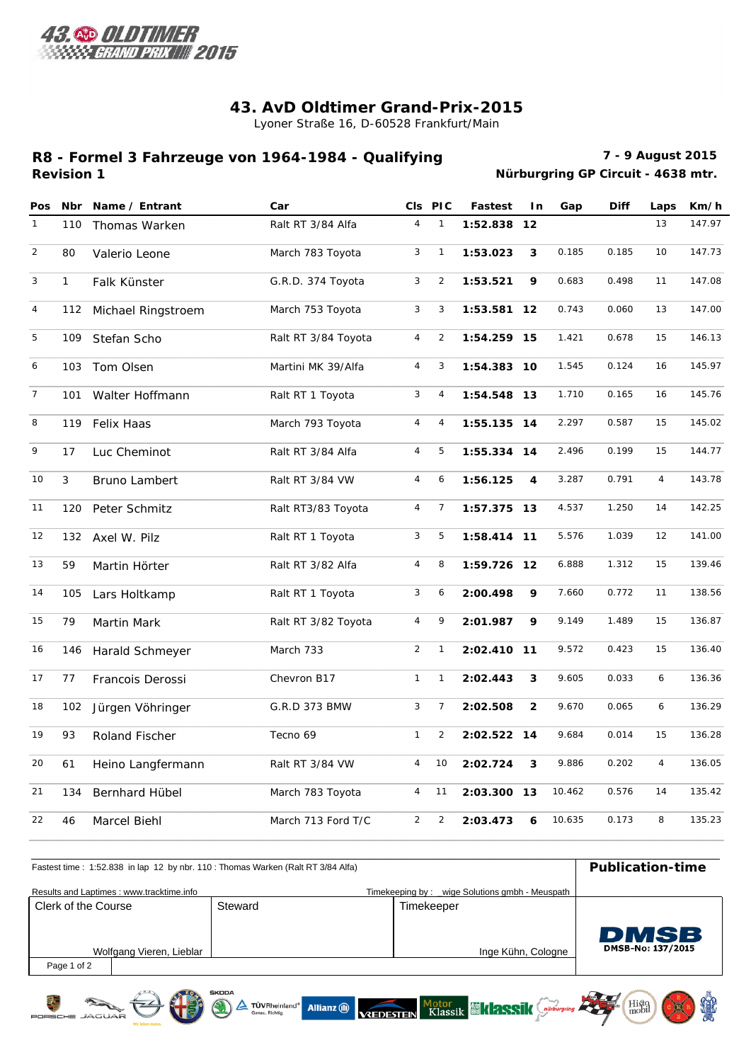

文

## **43. AvD Oldtimer Grand-Prix-2015**

Lyoner Straße 16, D-60528 Frankfurt/Main

## **Revision 1 R8 - Formel 3 Fahrzeuge von 1964-1984 - Qualifying**

**7 - 9 August 2015 Nürburgring GP Circuit - 4638 mtr.**

Histo<br>mobil

| <b>Pos</b>     | <b>Nbr</b>   | Name / Entrant     | Car                 |                | CIs PIC        | <b>Fastest</b> | I n            | Gap    | <b>Diff</b> | Laps           | Km/h   |
|----------------|--------------|--------------------|---------------------|----------------|----------------|----------------|----------------|--------|-------------|----------------|--------|
| $\mathbf{1}$   | 110          | Thomas Warken      | Ralt RT 3/84 Alfa   | $\overline{4}$ | $\mathbf{1}$   | 1:52.838 12    |                |        |             | 13             | 147.97 |
| 2              | 80           | Valerio Leone      | March 783 Toyota    | 3              | $\mathbf{1}$   | 1:53.023       | 3              | 0.185  | 0.185       | 10             | 147.73 |
| 3              | $\mathbf{1}$ | Falk Künster       | G.R.D. 374 Toyota   | 3              | $\overline{2}$ | 1:53.521       | 9              | 0.683  | 0.498       | 11             | 147.08 |
| $\overline{4}$ | 112          | Michael Ringstroem | March 753 Toyota    | 3              | 3              | 1:53.581 12    |                | 0.743  | 0.060       | 13             | 147.00 |
| 5              | 109          | Stefan Scho        | Ralt RT 3/84 Toyota | $\overline{4}$ | $\overline{2}$ | 1:54.259 15    |                | 1.421  | 0.678       | 15             | 146.13 |
| 6              | 103          | Tom Olsen          | Martini MK 39/Alfa  | $\overline{4}$ | 3              | 1:54.383 10    |                | 1.545  | 0.124       | 16             | 145.97 |
| $\overline{7}$ | 101          | Walter Hoffmann    | Ralt RT 1 Toyota    | 3              | $\overline{4}$ | 1:54.548 13    |                | 1.710  | 0.165       | 16             | 145.76 |
| 8              | 119          | Felix Haas         | March 793 Toyota    | $\overline{4}$ | 4              | 1:55.135 14    |                | 2.297  | 0.587       | 15             | 145.02 |
| 9              | 17           | Luc Cheminot       | Ralt RT 3/84 Alfa   | $\overline{4}$ | 5              | 1:55.334 14    |                | 2.496  | 0.199       | 15             | 144.77 |
| 10             | 3            | Bruno Lambert      | Ralt RT 3/84 VW     | $\overline{4}$ | 6              | 1:56.125       | 4              | 3.287  | 0.791       | $\overline{4}$ | 143.78 |
| 11             | 120          | Peter Schmitz      | Ralt RT3/83 Toyota  | $\overline{4}$ | $\overline{7}$ | 1:57.375 13    |                | 4.537  | 1.250       | 14             | 142.25 |
| 12             | 132          | Axel W. Pilz       | Ralt RT 1 Toyota    | 3              | 5              | 1:58.414 11    |                | 5.576  | 1.039       | 12             | 141.00 |
| 13             | 59           | Martin Hörter      | Ralt RT 3/82 Alfa   | $\overline{4}$ | 8              | 1:59.726 12    |                | 6.888  | 1.312       | 15             | 139.46 |
| 14             | 105          | Lars Holtkamp      | Ralt RT 1 Toyota    | 3              | 6              | 2:00.498       | 9              | 7.660  | 0.772       | 11             | 138.56 |
| 15             | 79           | Martin Mark        | Ralt RT 3/82 Toyota | $\overline{4}$ | 9              | 2:01.987       | 9              | 9.149  | 1.489       | 15             | 136.87 |
| 16             | 146          | Harald Schmeyer    | March 733           | $\overline{2}$ | $\mathbf{1}$   | 2:02.410 11    |                | 9.572  | 0.423       | 15             | 136.40 |
| 17             | 77           | Francois Derossi   | Chevron B17         | $\mathbf{1}$   | $\mathbf{1}$   | 2:02.443       | 3              | 9.605  | 0.033       | 6              | 136.36 |
| 18             | 102          | Jürgen Vöhringer   | G.R.D 373 BMW       | 3              | $\overline{7}$ | 2:02.508       | $\overline{2}$ | 9.670  | 0.065       | 6              | 136.29 |
| 19             | 93           | Roland Fischer     | Tecno 69            | $\mathbf{1}$   | $\overline{2}$ | 2:02.522 14    |                | 9.684  | 0.014       | 15             | 136.28 |
| 20             | 61           | Heino Langfermann  | Ralt RT 3/84 VW     | $\overline{4}$ | 10             | 2:02.724       | 3              | 9.886  | 0.202       | $\overline{4}$ | 136.05 |
| 21             | 134          | Bernhard Hübel     | March 783 Toyota    | $\overline{4}$ | 11             | 2:03.300 13    |                | 10.462 | 0.576       | 14             | 135.42 |
| 22             | 46           | Marcel Biehl       | March 713 Ford T/C  | $\overline{2}$ | $\overline{2}$ | 2:03.473       | 6              | 10.635 | 0.173       | 8              | 135.23 |

| Fastest time: 1:52.838 in lap 12 by nbr. 110: Thomas Warken (Ralt RT 3/84 Alfa) | Publication-time |                                                |                                  |
|---------------------------------------------------------------------------------|------------------|------------------------------------------------|----------------------------------|
| Results and Laptimes: www.tracktime.info                                        |                  | Timekeeping by: wige Solutions gmbh - Meuspath |                                  |
| Clerk of the Course                                                             | Steward          | Timekeeper                                     |                                  |
| Wolfgang Vieren, Lieblar                                                        |                  | Inge Kühn, Cologne                             | <b>DMSB</b><br>DMSB-No: 137/2015 |
| Page 1 of 2                                                                     |                  |                                                |                                  |

A TÜVRheinland<sup>\*</sup> Allianz **(WALDESTEIN KLASSIK (MIKLASSIK**